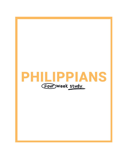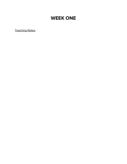# **WEEK ONE**

Teaching Notes: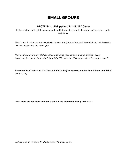## **SMALL GROUPS**

## **SECTION 1 - Philippians 1: 1-11** (15-20min)

In this section we'll get the groundwork and introduction to both the author of this letter and its recipients.

Read verse 1 - choose some way/color to mark Paul, the author, and the recipients "all the saints in Christ Jesus who are at Philippi"

Now go through the rest of this section and using your same markings highlight every instance/reference to Paul - don't forget the "I"s - and the Philippians - don't forget the "yous"

**How does Paul feel about the church at Philippi? (give some examples from this section) Why?** (vv. 3-4, 7-8)

**What more did you learn about this church and their relationship with Paul?**

Let's zero in on verses 9-11 - Paul's prayer for this church.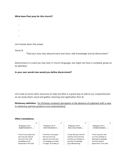#### **What does Paul pray for this church?**

- **-**
- **-**
- 
- **-**
- **-**
- 

Let's break down this prayer

Verse 9:

"That your love may abound more and more, with knowledge and all discernment"

Discernment is a word we may hear in church language, but might not have a complete grasp on its definition.

**In your own words how would you define discernment?**

Let's look at some other resources to help too! (this is a great way to add to our comprehension as we study God's word and gather meaning and application from it)

**Dictionary definition**: "(in Christian contexts) perception in the absence of judgment with a view to obtaining spiritual guidance and understanding"

#### **Other translations:**

| X                                                                                                                                     | $\times$                                                                                                                       | $\times$                                                                                                                           | x                                                                                                                         |
|---------------------------------------------------------------------------------------------------------------------------------------|--------------------------------------------------------------------------------------------------------------------------------|------------------------------------------------------------------------------------------------------------------------------------|---------------------------------------------------------------------------------------------------------------------------|
| Philippians 1:9-11<br>English Standard V $\sim$                                                                                       | Philippians 1:9-11<br>$\checkmark$<br>New International V $\sim$                                                               | Philippians 1:9-11<br>$\checkmark$<br>New Living Translat $\vee$                                                                   | Philippians 1:9-11<br>$\checkmark$<br>Christian Standard $ \vee$                                                          |
| 9 And it is my prayer that<br>your love may abound<br>more and more, with<br>knowledge and all<br>discernment, 10 so that<br>$\cdots$ | 9 And this is my prayer:<br>that your love may<br>abound more and more<br>in knowledge and depth<br>of insight, 10 so that you | 9 I pray that your love will<br>overflow more and more,<br>and that you will keep on<br>growing in knowledge<br>and understanding. | 9 And I pray this: that<br>your love will keep on<br>growing in knowledge<br>and every kind of<br>discernment, 10 so that |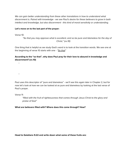We can gain better understanding from these other translations in how to understand what discernment is. Paired with knowledge - we see Paul's desire for these believers to grow in both intellect and knowledge, but also discernment - this kind of moral sensitivity or understanding.

#### **Let's move on to the last part of the prayer:**

Verse 10:

**-**

**-**

"So that you may approve what is excellent, and so be pure and blameless for the day of Christ," (vv.10)

One thing that is helpful as we study God's word is to look at the transition words. We see one at the beginning of verse 10 starts with one - "So that"

#### **According to the "so that", why does Paul pray for their love to abound in knowledge and discernment? (vv.10)**

Paul uses this descriptor of "pure and blameless" - we'll see this again later in Chapter 2, but for now let's look at how we can be looked at as pure and blameless by looking at the last verse of Paul's prayer.

Verse 11:

"filled with the fruit of righteousness that comes through Jesus Christ to the glory and praise of God"

**What are believers filled with? Where does this come through? How?**

**Head to Galatians 5:22 and write down what some of these fruits are:**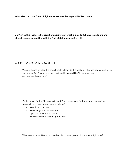**What else could the fruits of righteousness look like in your life? Be curious.**

**Don't miss this - What is the result of approving of what is excellent, being found pure and blameless, and being filled with the fruit of righteousness? (vv. 11)**

## A P P L I C A T I O N - Section 1

- We see Paul's love for this church really clearly in this section - who has been a partner to you in your faith? What has their partnership looked like? How have they encouraged/helped you?

- Paul's prayer for the Philippians in vv.9-11 has his desires for them, what parts of this prayer do you need to pray specifically for?
	- Your love to abound
	- Knowledge and discernment
	- Approve of what is excellent
	- Be filled with the fruit of righteousness
- What area of your life do you need godly knowledge and discernment right now?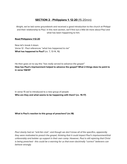## **SECTION 2 - Philippians 1: 12-20** (15-20min)

Alright, we've laid some groundwork and received a good introduction to the church at Philippi and their relationship to Paul. In this next section, we'll find out a little bit more about Paul and what has been happening to him.

#### **Read Philippians 1:12-20**

Now let's break it down. Verse 12 - Paul references "what has happened to me" **What has happened to Paul?** (vv. 7, 13-14, 16)

He then goes on to say this "has really served to advance the gospel" **How has Paul's imprisonment helped to advance the gospel? What 2 things does he point to in verse 13&14?**

In verse 15 we're introduced to a new group of people **Who are they and what seems to be happening with them? (vv. 15-17)**

#### **What is Paul's reaction to this group of preachers? (vv.18)**

Paul clearly had an "anti-fan club", and though we don't know all of the specifics, apparently they were motivated to preach the gospel, thinking that it could impact Paul's imprisonment/trial unfavorably and bolster up support in their own camp. However, Paul is still rejoicing that Christ is being preached - this could be a warning for us that even doctrinally "correct" believers can behave wrongly.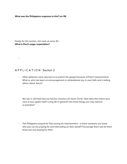#### **What was the Philippians response to this? (vv.19)**

Finally for this section, let's look at verse 20. **What is Paul's eager expectation?**

**-**

**-**

### A P P L I C A T I O N - Section 2

- Other believers were spurred on to preach the gospel because of Paul's imprisonment. What or who has been an encouragement or emboldened you in your faith and in telling others about Jesus?
- We see in v20 that how we live/our choices can honor Christ. How does this inform your view of your goals? Self? Living life in general? Are there things you may need to re-prioritize?
- The Philippians prayed for Paul during his imprisonment is there someone you know who you can be praying for and interceding on their behalf? Encourage them and let them know you are praying for them.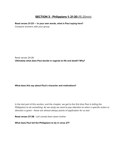## **SECTION 3 - Philippians 1: 21-30** (15-20min)

**Read verses 21-23 --- In your own words, what is Paul saying here?** Compare answers with your group

Read verses 24-26 **Ultimately what does Paul decide in regards to life and death? Why?**

#### **What does this say about Paul's character and motivations?**

In the last part of this section, and the chapter, we get to the first time Paul is telling the Philippians to do something. As we study we want to pay attention to when a specific action or direction is given - these are almost always points of application for us too!

**Read verses 27-28 -** Let's break them down further

**What does Paul tell the Philippians to do in verse 27?**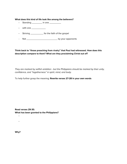#### **What does this kind of life look like among the believers?**

- Standing \_\_\_\_\_\_\_\_\_ in one \_\_\_\_\_\_\_\_\_
- **-** with one \_\_\_\_\_\_\_\_\_\_\_
- **-** Striving \_\_\_\_\_\_\_\_\_\_ for the faith of the gospel
- Not \_\_\_\_\_\_\_\_\_\_\_\_\_\_\_\_\_\_\_\_\_\_\_\_ by your opponents

**Think back to "those preaching from rivalry" that Paul had witnessed. How does this description compare to them? What are they proclaiming Christ out of?**

They are marked by selfish ambition - but the Philippians should be marked by their unity, confidence, and "togetherness" in spirit, mind, and body.

To help further grasp the meaning: **Rewrite verses 27-28 in your own words**

**Read verses 29-30. What has been granted to the Philippians?**

**Why?**

**-**

**-**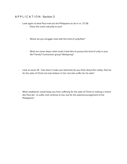## A P P L I C A T I O N - Section 3

- Look again at what Paul instructs the Philippians to do in vv. 27-28.
	- Does this come naturally to you?
	- Where do you struggle most with this kind of unity/fear?
	- What are some steps/ what could it look like to pursue this kind of unity in your life? Family? Connection group? Wellspring?
- Look at verse 29 how does it make you feel/what do you think about this reality, that we for the sake of Christ not only believe in him, but also suffer for his sake"
- What roadblocks would keep you from suffering for the sake of Christ or making a choice like Paul did - to suffer and continue to live, but for the sake/encouragement of the Philippians?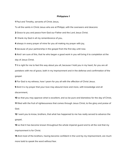#### **Philippians 1**

**1** Paul and Timothy, servants of Christ Jesus,

To all the saints in Christ Jesus who are at Philippi, with the overseers and deacons:

**2** Grace to you and peace from God our Father and the Lord Jesus Christ.

**3** I thank my God in all my remembrance of you,

**4** always in every prayer of mine for you all making my prayer with joy,

**5** because of your partnership in the gospel from the first day until now.

**6** And I am sure of this, that he who began a good work in you will bring it to completion at the day of Jesus Christ.

**7** It is right for me to feel this way about you all, because I hold you in my heart, for you are all partakers with me of grace, both in my imprisonment and in the defense and confirmation of the gospel.

**8** For God is my witness, how I yearn for you all with the affection of Christ Jesus.

**9** And it is my prayer that your love may abound more and more, with knowledge and all

discernment,

**10** so that you may approve what is excellent, and so be pure and blameless for the day of Christ, **11** filled with the fruit of righteousness that comes through Jesus Christ, to the glory and praise of God.

**12** I want you to know, brothers, that what has happened to me has really served to advance the gospel,

**13** so that it has become known throughout the whole imperial guard and to all the rest that my imprisonment is for Christ.

**14** And most of the brothers, having become confident in the Lord by my imprisonment, are much more bold to speak the word without fear.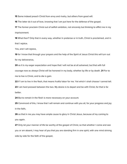**15** Some indeed preach Christ from envy and rivalry, but others from good will.

**16** The latter do it out of love, knowing that I am put here for the defense of the gospel.

**17** The former proclaim Christ out of selfish ambition, not sincerely but thinking to afflict me in my imprisonment.

**18** What then? Only that in every way, whether in pretense or in truth, Christ is proclaimed, and in that I rejoice.

Yes, and I will rejoice,

**19** for I know that through your prayers and the help of the Spirit of Jesus Christ this will turn out for my deliverance,

**20** as it is my eager expectation and hope that I will not be at all ashamed, but that with full courage now as always Christ will be honored in my body, whether by life or by death. **21** For to me to live is Christ, and to die is gain.

**22** If I am to live in the flesh, that means fruitful labor for me. Yet which I shall choose I cannot tell.

**23** I am hard pressed between the two. My desire is to depart and be with Christ, for that is far better.

**24** But to remain in the flesh is more necessary on your account.

**25** Convinced of this, I know that I will remain and continue with you all, for your progress and joy in the faith,

**26** so that in me you may have ample cause to glory in Christ Jesus, because of my coming to you again.

**27** Only let your manner of life be worthy of the gospel of Christ, so that whether I come and see you or am absent, I may hear of you that you are standing firm in one spirit, with one mind striving side by side for the faith of the gospel,